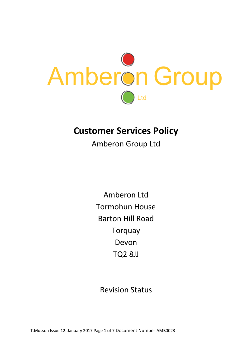

# **Customer Services Policy**

Amberon Group Ltd

Amberon Ltd Tormohun House Barton Hill Road Torquay Devon TQ2 8JJ

Revision Status

T.Musson Issue 12. January 2017 Page 1 of 7 Document Number AMB0023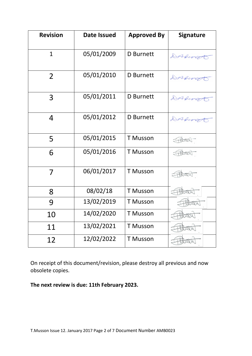| <b>Revision</b> | <b>Date Issued</b> | <b>Approved By</b> | Signature |
|-----------------|--------------------|--------------------|-----------|
| $\overline{1}$  | 05/01/2009         | <b>D</b> Burnett   | DAfument  |
| $\overline{2}$  | 05/01/2010         | D Burnett          | DAGement  |
| 3               | 05/01/2011         | <b>D</b> Burnett   | DAfungt   |
| 4               | 05/01/2012         | <b>D</b> Burnett   | DAGement  |
| 5               | 05/01/2015         | <b>T</b> Musson    | Abosto    |
| 6               | 05/01/2016         | <b>T</b> Musson    | Fittoson  |
| $\overline{7}$  | 06/01/2017         | <b>T</b> Musson    | Thosal    |
| 8               | 08/02/18           | <b>T</b> Musson    | Hitoson   |
| 9               | 13/02/2019         | <b>T</b> Musson    | Wed       |
| 10              | 14/02/2020         | <b>T</b> Musson    | 41 72 CM  |
| 11              | 13/02/2021         | <b>T Musson</b>    | 722.M     |
| 12              | 12/02/2022         | <b>T</b> Musson    |           |

On receipt of this document/revision, please destroy all previous and now obsolete copies.

**The next review is due: 11th February 2023.**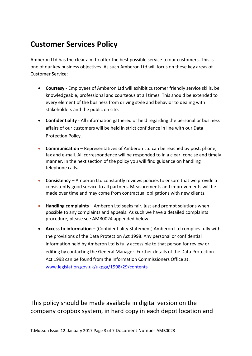## **Customer Services Policy**

Amberon Ltd has the clear aim to offer the best possible service to our customers. This is one of our key business objectives. As such Amberon Ltd will focus on these key areas of Customer Service:

- **Courtesy** Employees of Amberon Ltd will exhibit customer friendly service skills, be knowledgeable, professional and courteous at all times. This should be extended to every element of the business from driving style and behavior to dealing with stakeholders and the public on site.
- **Confidentiality** All information gathered or held regarding the personal or business affairs of our customers will be held in strict confidence in line with our Data Protection Policy.
- **Communication** Representatives of Amberon Ltd can be reached by post, phone, fax and e-mail. All correspondence will be responded to in a clear, concise and timely manner. In the next section of the policy you will find guidance on handling telephone calls.
- **Consistency** Amberon Ltd constantly reviews policies to ensure that we provide a consistently good service to all partners. Measurements and improvements will be made over time and may come from contractual obligations with new clients.
- **Handling complaints** Amberon Ltd seeks fair, just and prompt solutions when possible to any complaints and appeals. As such we have a detailed complaints procedure, please see AMB0024 appended below.
- **Access to information –** (Confidentiality Statement) Amberon Ltd complies fully with the provisions of the Data Protection Act 1998. Any personal or confidential information held by Amberon Ltd is fully accessible to that person for review or editing by contacting the General Manager. Further details of the Data Protection Act 1998 can be found from the Information Commissioners Office at: [www.legislation.gov.uk/ukpga/1998/29/contents](http://www.legislation.gov.uk/ukpga/1998/29/contents)

This policy should be made available in digital version on the company dropbox system, in hard copy in each depot location and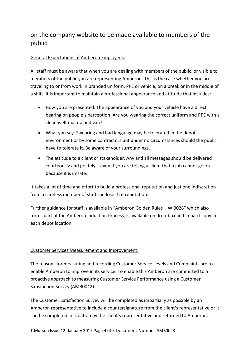### on the company website to be made available to members of the public.

#### General Expectations of Amberon Employees:

All staff must be aware that when you are dealing with members of the public, or visible to members of the public you are representing Amberon. This is the case whether you are traveling to or from work in branded uniform, PPE or vehicle, on a break or in the middle of a shift. It is important to maintain a professional appearance and attitude that includes:

- How you are presented. The appearance of you and your vehicle have a direct bearing on people's perception. Are you wearing the correct uniform and PPE with a clean well-maintained van?
- What you say. Swearing and bad language may be tolerated in the depot environment or by some contractors but under no circumstances should the public have to tolerate it. Be aware of your surroundings.
- The attitude to a client or stakeholder. Any and all messages should be delivered courteously and politely – even if you are telling a client that a job cannot go on because it is unsafe.

It takes a lot of time and effort to build a professional reputation and just one indiscretion from a careless member of staff can lose that reputation.

Further guidance for staff is available in "Amberon Golden Rules – WI0028" which also forms part of the Amberon Induction Process, is available on drop-box and in hard-copy in each depot location.

#### Customer Services Measurement and Improvement:

The reasons for measuring and recording Customer Service Levels and Complaints are to enable Amberon to improve in its service. To enable this Amberon are committed to a proactive approach to measuring Customer Service Performance using a Customer Satisfaction Survey (AMB0042).

The Customer Satisfaction Survey will be completed as impartially as possible by an Amberon representative to include a countersignature from the client's representative or it can be completed in isolation by the client's representative and returned to Amberon.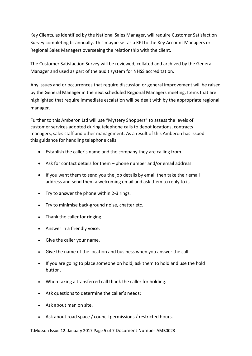Key Clients, as identified by the National Sales Manager, will require Customer Satisfaction Survey completing bi-annually. This maybe set as a KPI to the Key Account Managers or Regional Sales Managers overseeing the relationship with the client.

The Customer Satisfaction Survey will be reviewed, collated and archived by the General Manager and used as part of the audit system for NHSS accreditation.

Any issues and or occurrences that require discussion or general improvement will be raised by the General Manager in the next scheduled Regional Managers meeting. Items that are highlighted that require immediate escalation will be dealt with by the appropriate regional manager.

Further to this Amberon Ltd will use "Mystery Shoppers" to assess the levels of customer services adopted during telephone calls to depot locations, contracts managers, sales staff and other management. As a result of this Amberon has issued this guidance for handling telephone calls:

- Establish the caller's name and the company they are calling from.
- Ask for contact details for them phone number and/or email address.
- If you want them to send you the job details by email then take their email address and send them a welcoming email and ask them to reply to it.
- Try to answer the phone within 2-3 rings.
- Try to minimise back-ground noise, chatter etc.
- Thank the caller for ringing.
- Answer in a friendly voice.
- Give the caller your name.
- Give the name of the location and business when you answer the call.
- If you are going to place someone on hold, ask them to hold and use the hold button.
- When taking a transferred call thank the caller for holding.
- Ask questions to determine the caller's needs:
- Ask about man on site.
- Ask about road space / council permissions / restricted hours.

T.Musson Issue 12. January 2017 Page 5 of 7 Document Number AMB0023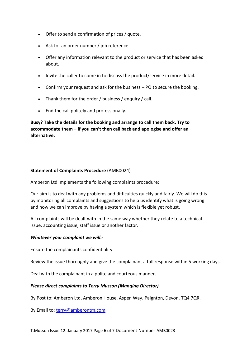- Offer to send a confirmation of prices / quote.
- Ask for an order number / job reference.
- Offer any information relevant to the product or service that has been asked about.
- Invite the caller to come in to discuss the product/service in more detail.
- Confirm your request and ask for the business PO to secure the booking.
- Thank them for the order / business / enquiry / call.
- End the call politely and professionally.

**Busy? Take the details for the booking and arrange to call them back. Try to accommodate them – if you can't then call back and apologise and offer an alternative.**

#### **Statement of Complaints Procedure** (AMB0024)

Amberon Ltd implements the following complaints procedure:

Our aim is to deal with any problems and difficulties quickly and fairly. We will do this by monitoring all complaints and suggestions to help us identify what is going wrong and how we can improve by having a system which is flexible yet robust.

All complaints will be dealt with in the same way whether they relate to a technical issue, accounting issue, staff issue or another factor.

#### *Whatever your complaint we will:-*

Ensure the complainants confidentiality.

Review the issue thoroughly and give the complainant a full response within 5 working days.

Deal with the complainant in a polite and courteous manner.

#### *Please direct complaints to Terry Musson (Manging Director)*

By Post to: Amberon Ltd, Amberon House, Aspen Way, Paignton, Devon. TQ4 7QR.

By Email to: [terry@amberontm.com](mailto:terry@amberontm.com)